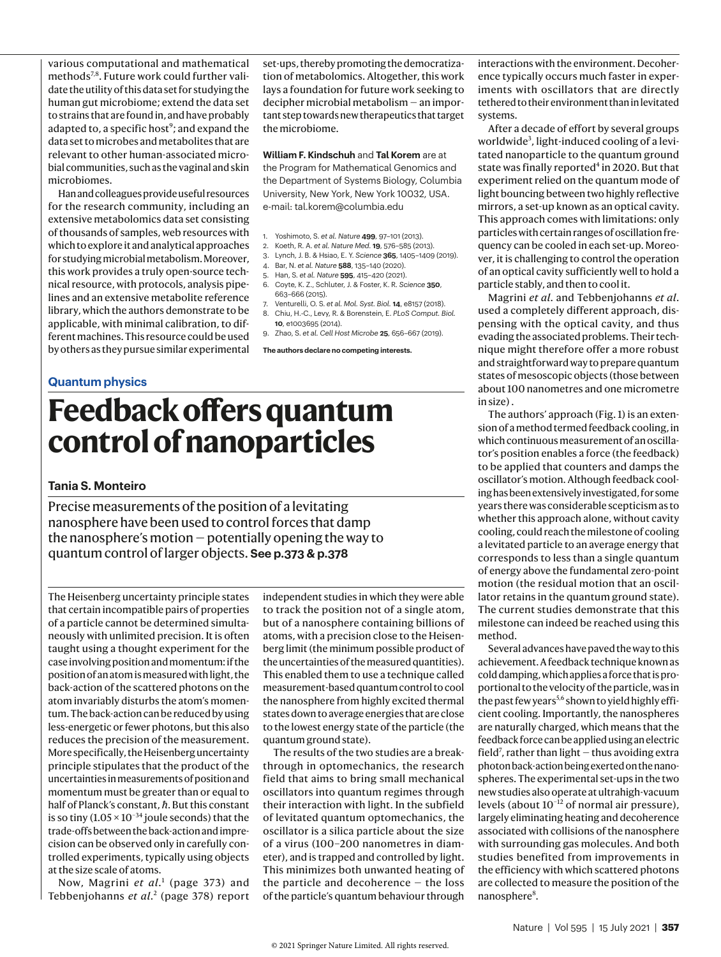various computational and mathematical methods<sup>7,8</sup>. Future work could further validate the utility of this data set for studying the human gut microbiome; extend the data set to strains that are found in, and have probably adapted to, a specific host<sup>9</sup>; and expand the data set to microbes and metabolites that are relevant to other human-associated microbial communities, such as the vaginal and skin microbiomes.

Han and colleagues provide useful resources for the research community, including an extensive metabolomics data set consisting of thousands of samples, web resources with which to explore it and analytical approaches for studying microbial metabolism. Moreover, this work provides a truly open-source technical resource, with protocols, analysis pipelines and an extensive metabolite reference library, which the authors demonstrate to be applicable, with minimal calibration, to different machines. This resource could be used by others as they pursue similar experimental

set-ups, thereby promoting the democratization of metabolomics. Altogether, this work lays a foundation for future work seeking to decipher microbial metabolism — an important step towards new therapeutics that target the microbiome.

#### **William F. Kindschuh** and **Tal Korem** are at

the Program for Mathematical Genomics and the Department of Systems Biology, Columbia University, New York, New York 10032, USA. e-mail: tal.korem@columbia.edu

- 1. Yoshimoto, S. *et al. Nature* **499**, 97–101 (2013).
- 2. Koeth, R. A. *et al. Nature Med.* **19**, 576–585 (2013).
- 3. Lynch, J. B. & Hsiao, E. Y. *Science* **365**, 1405–1409 (2019).
- 4. Bar, N. *et al. Nature* **588**, 135–140 (2020).
- 5. Han, S. *et al. Nature* **595**, 415–420 (2021).
- 6. Coyte, K. Z., Schluter, J. & Foster, K. R. *Science* **350**, 663–666 (2015).
- 7. Venturelli, O. S. *et al. Mol. Syst. Biol.* **14**, e8157 (2018). 8. Chiu, H.-C., Levy, R. & Borenstein, E. *PLoS Comput. Biol.*
- **10**, e1003695 (2014). 9. Zhao, S. *et al. Cell Host Microbe* **25**, 656–667 (2019).

**The authors declare no competing interests.** 

#### **Quantum physics**

# **Feedback offers quantum control of nanoparticles**

### **Tania S. Monteiro**

Precise measurements of the position of a levitating nanosphere have been used to control forces that damp the nanosphere's motion — potentially opening the way to quantum control of larger objects. **See p.373 & p.378**

The Heisenberg uncertainty principle states that certain incompatible pairs of properties of a particle cannot be determined simultaneously with unlimited precision. It is often taught using a thought experiment for the case involving position and momentum: if the position of an atom is measured with light, the back-action of the scattered photons on the atom invariably disturbs the atom's momentum. The back-action can be reduced by using less-energetic or fewer photons, but this also reduces the precision of the measurement. More specifically, the Heisenberg uncertainty principle stipulates that the product of the uncertainties in measurements of position and momentum must be greater than or equal to half of Planck's constant, *ħ*. But this constant is so tiny  $(1.05 \times 10^{-34})$  joule seconds) that the trade-offs between the back-action and imprecision can be observed only in carefully controlled experiments, typically using objects at the size scale of atoms.

Now, Magrini *et al*. 1 (page 373) and Tebbenjohanns *et al*. 2 (page 378) report independent studies in which they were able to track the position not of a single atom, but of a nanosphere containing billions of atoms, with a precision close to the Heisenberg limit (the minimum possible product of the uncertainties of the measured quantities). This enabled them to use a technique called measurement-based quantum control to cool the nanosphere from highly excited thermal states down to average energies that are close to the lowest energy state of the particle (the quantum ground state).

The results of the two studies are a breakthrough in optomechanics, the research field that aims to bring small mechanical oscillators into quantum regimes through their interaction with light. In the subfield of levitated quantum optomechanics, the oscillator is a silica particle about the size of a virus (100–200 nanometres in diameter), and is trapped and controlled by light. This minimizes both unwanted heating of the particle and decoherence — the loss of the particle's quantum behaviour through interactions with the environment. Decoherence typically occurs much faster in experiments with oscillators that are directly tethered to their environment than in levitated systems.

After a decade of effort by several groups worldwide<sup>3</sup>, light-induced cooling of a levitated nanoparticle to the quantum ground state was finally reported<sup>4</sup> in 2020. But that experiment relied on the quantum mode of light bouncing between two highly reflective mirrors, a set-up known as an optical cavity. This approach comes with limitations: only particles with certain ranges of oscillation frequency can be cooled in each set-up. Moreover, it is challenging to control the operation of an optical cavity sufficiently well to hold a particle stably, and then to cool it.

Magrini *et al*. and Tebbenjohanns *et al*. used a completely different approach, dispensing with the optical cavity, and thus evading the associated problems. Their technique might therefore offer a more robust and straightforward way to prepare quantum states of mesoscopic objects (those between about 100 nanometres and one micrometre in size) .

The authors' approach (Fig. 1) is an extension of a method termed feedback cooling, in which continuous measurement of an oscillator's position enables a force (the feedback) to be applied that counters and damps the oscillator's motion. Although feedback cooling has been extensively investigated, for some years there was considerable scepticism as to whether this approach alone, without cavity cooling, could reach the milestone of cooling a levitated particle to an average energy that corresponds to less than a single quantum of energy above the fundamental zero-point motion (the residual motion that an oscillator retains in the quantum ground state). The current studies demonstrate that this milestone can indeed be reached using this method.

Several advances have paved the way to this achievement. A feedback technique known as cold damping, which applies a force that is proportional to the velocity of the particle, was in the past few years<sup>5,6</sup> shown to yield highly efficient cooling. Importantly, the nanospheres are naturally charged, which means that the feedback force can be applied using an electric field<sup>7</sup>, rather than light  $-$  thus avoiding extra photon back-action being exerted on the nanospheres. The experimental set-ups in the two new studies also operate at ultrahigh-vacuum levels (about  $10^{-12}$  of normal air pressure), largely eliminating heating and decoherence associated with collisions of the nanosphere with surrounding gas molecules. And both studies benefited from improvements in the efficiency with which scattered photons are collected to measure the position of the nanosphere<sup>8</sup>.